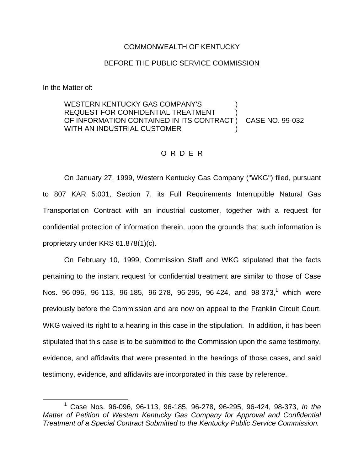## COMMONWEALTH OF KENTUCKY

## BEFORE THE PUBLIC SERVICE COMMISSION

In the Matter of:

## WESTERN KENTUCKY GAS COMPANY'S REQUEST FOR CONFIDENTIAL TREATMENT OF INFORMATION CONTAINED IN ITS CONTRACT ) CASE NO. 99-032 WITH AN INDUSTRIAL CUSTOMER

## O R D E R

On January 27, 1999, Western Kentucky Gas Company ("WKG") filed, pursuant to 807 KAR 5:001, Section 7, its Full Requirements Interruptible Natural Gas Transportation Contract with an industrial customer, together with a request for confidential protection of information therein, upon the grounds that such information is proprietary under KRS 61.878(1)(c).

On February 10, 1999, Commission Staff and WKG stipulated that the facts pertaining to the instant request for confidential treatment are similar to those of Case Nos. 96-096, 96-113, 96-185, 96-278, 96-295, 96-424, and 98-373,<sup>1</sup> which were previously before the Commission and are now on appeal to the Franklin Circuit Court. WKG waived its right to a hearing in this case in the stipulation. In addition, it has been stipulated that this case is to be submitted to the Commission upon the same testimony, evidence, and affidavits that were presented in the hearings of those cases, and said testimony, evidence, and affidavits are incorporated in this case by reference.

<sup>1</sup> Case Nos. 96-096, 96-113, 96-185, 96-278, 96-295, 96-424, 98-373, *In the Matter of Petition of Western Kentucky Gas Company for Approval and Confidential Treatment of a Special Contract Submitted to the Kentucky Public Service Commission.*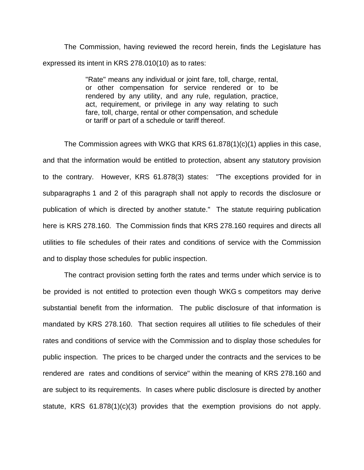The Commission, having reviewed the record herein, finds the Legislature has expressed its intent in KRS 278.010(10) as to rates:

> "Rate" means any individual or joint fare, toll, charge, rental, or other compensation for service rendered or to be rendered by any utility, and any rule, regulation, practice, act, requirement, or privilege in any way relating to such fare, toll, charge, rental or other compensation, and schedule or tariff or part of a schedule or tariff thereof.

The Commission agrees with WKG that KRS 61.878(1)(c)(1) applies in this case, and that the information would be entitled to protection, absent any statutory provision to the contrary. However, KRS 61.878(3) states: "The exceptions provided for in subparagraphs 1 and 2 of this paragraph shall not apply to records the disclosure or publication of which is directed by another statute." The statute requiring publication here is KRS 278.160. The Commission finds that KRS 278.160 requires and directs all utilities to file schedules of their rates and conditions of service with the Commission and to display those schedules for public inspection.

The contract provision setting forth the rates and terms under which service is to be provided is not entitled to protection even though WKG s competitors may derive substantial benefit from the information. The public disclosure of that information is mandated by KRS 278.160. That section requires all utilities to file schedules of their rates and conditions of service with the Commission and to display those schedules for public inspection. The prices to be charged under the contracts and the services to be rendered are rates and conditions of service" within the meaning of KRS 278.160 and are subject to its requirements. In cases where public disclosure is directed by another statute, KRS 61.878(1)(c)(3) provides that the exemption provisions do not apply.